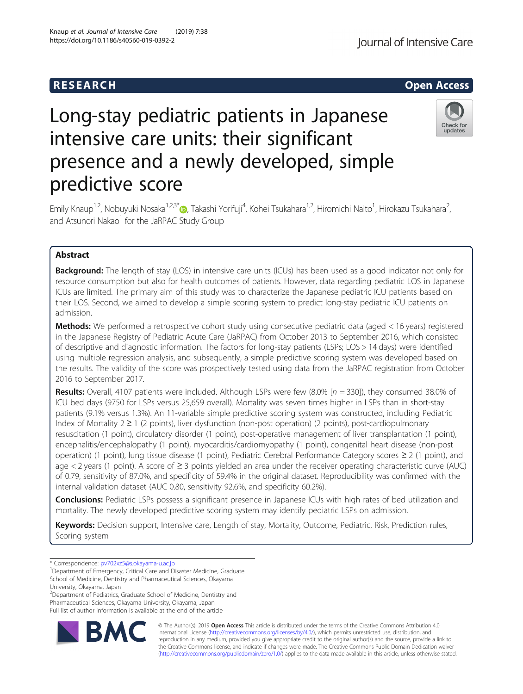## R E S EAR CH Open Access

# Long-stay pediatric patients in Japanese intensive care units: their significant presence and a newly developed, simple predictive score

Emily Knaup<sup>1,2</sup>, Nobuyuki Nosaka<sup>1,2,3[\\*](http://orcid.org/0000-0002-7722-0701)</sup>®, Takashi Yorifuji<sup>4</sup>, Kohei Tsukahara<sup>1,2</sup>, Hiromichi Naito<sup>1</sup>, Hirokazu Tsukahara<sup>2</sup> , and Atsunori Nakao<sup>1</sup> for the JaRPAC Study Group

## Abstract

**Background:** The length of stay (LOS) in intensive care units (ICUs) has been used as a good indicator not only for resource consumption but also for health outcomes of patients. However, data regarding pediatric LOS in Japanese ICUs are limited. The primary aim of this study was to characterize the Japanese pediatric ICU patients based on their LOS. Second, we aimed to develop a simple scoring system to predict long-stay pediatric ICU patients on admission.

Methods: We performed a retrospective cohort study using consecutive pediatric data (aged < 16 years) registered in the Japanese Registry of Pediatric Acute Care (JaRPAC) from October 2013 to September 2016, which consisted of descriptive and diagnostic information. The factors for long-stay patients (LSPs; LOS > 14 days) were identified using multiple regression analysis, and subsequently, a simple predictive scoring system was developed based on the results. The validity of the score was prospectively tested using data from the JaRPAC registration from October 2016 to September 2017.

Results: Overall, 4107 patients were included. Although LSPs were few  $(8.0\%$  [n = 330]), they consumed 38.0% of ICU bed days (9750 for LSPs versus 25,659 overall). Mortality was seven times higher in LSPs than in short-stay patients (9.1% versus 1.3%). An 11-variable simple predictive scoring system was constructed, including Pediatric Index of Mortality 2 ≥ 1 (2 points), liver dysfunction (non-post operation) (2 points), post-cardiopulmonary resuscitation (1 point), circulatory disorder (1 point), post-operative management of liver transplantation (1 point), encephalitis/encephalopathy (1 point), myocarditis/cardiomyopathy (1 point), congenital heart disease (non-post operation) (1 point), lung tissue disease (1 point), Pediatric Cerebral Performance Category scores ≥ 2 (1 point), and age < 2 years (1 point). A score of ≥ 3 points yielded an area under the receiver operating characteristic curve (AUC) of 0.79, sensitivity of 87.0%, and specificity of 59.4% in the original dataset. Reproducibility was confirmed with the internal validation dataset (AUC 0.80, sensitivity 92.6%, and specificity 60.2%).

**Conclusions:** Pediatric LSPs possess a significant presence in Japanese ICUs with high rates of bed utilization and mortality. The newly developed predictive scoring system may identify pediatric LSPs on admission.

Keywords: Decision support, Intensive care, Length of stay, Mortality, Outcome, Pediatric, Risk, Prediction rules, Scoring system

\* Correspondence: [pv702xz5@s.okayama-u.ac.jp](mailto:pv702xz5@s.okayama-u.ac.jp) <sup>1</sup>

<sup>1</sup>Department of Emergency, Critical Care and Disaster Medicine, Graduate School of Medicine, Dentistry and Pharmaceutical Sciences, Okayama

University, Okayama, Japan

<sup>2</sup> Department of Pediatrics, Graduate School of Medicine, Dentistry and Pharmaceutical Sciences, Okayama University, Okayama, Japan Full list of author information is available at the end of the article

> © The Author(s). 2019 **Open Access** This article is distributed under the terms of the Creative Commons Attribution 4.0 International License [\(http://creativecommons.org/licenses/by/4.0/](http://creativecommons.org/licenses/by/4.0/)), which permits unrestricted use, distribution, and reproduction in any medium, provided you give appropriate credit to the original author(s) and the source, provide a link to the Creative Commons license, and indicate if changes were made. The Creative Commons Public Domain Dedication waiver [\(http://creativecommons.org/publicdomain/zero/1.0/](http://creativecommons.org/publicdomain/zero/1.0/)) applies to the data made available in this article, unless otherwise stated.





Knaup et al. Journal of Intensive Care (2019) 7:38 https://doi.org/10.1186/s40560-019-0392-2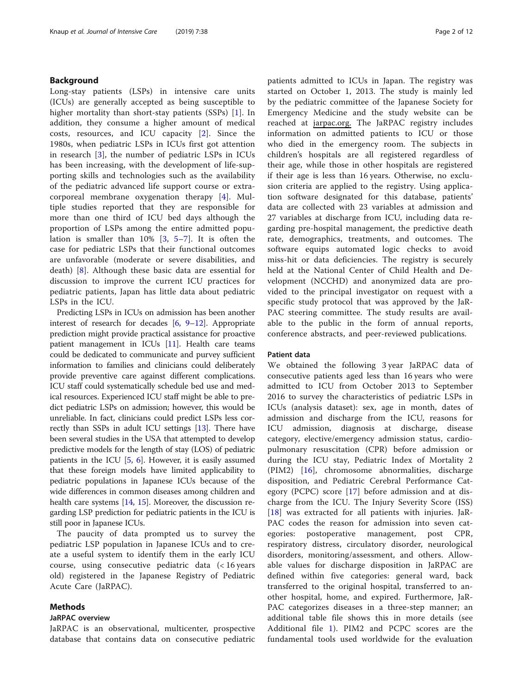## Background

Long-stay patients (LSPs) in intensive care units (ICUs) are generally accepted as being susceptible to higher mortality than short-stay patients (SSPs) [\[1](#page-10-0)]. In addition, they consume a higher amount of medical costs, resources, and ICU capacity [[2\]](#page-10-0). Since the 1980s, when pediatric LSPs in ICUs first got attention in research [\[3](#page-10-0)], the number of pediatric LSPs in ICUs has been increasing, with the development of life-supporting skills and technologies such as the availability of the pediatric advanced life support course or extracorporeal membrane oxygenation therapy [\[4](#page-10-0)]. Multiple studies reported that they are responsible for more than one third of ICU bed days although the proportion of LSPs among the entire admitted population is smaller than 10% [[3](#page-10-0), [5](#page-10-0)–[7](#page-10-0)]. It is often the case for pediatric LSPs that their functional outcomes are unfavorable (moderate or severe disabilities, and death) [[8\]](#page-10-0). Although these basic data are essential for discussion to improve the current ICU practices for pediatric patients, Japan has little data about pediatric LSPs in the ICU.

Predicting LSPs in ICUs on admission has been another interest of research for decades [\[6](#page-10-0), [9](#page-10-0)–[12\]](#page-11-0). Appropriate prediction might provide practical assistance for proactive patient management in ICUs  $[11]$ . Health care teams could be dedicated to communicate and purvey sufficient information to families and clinicians could deliberately provide preventive care against different complications. ICU staff could systematically schedule bed use and medical resources. Experienced ICU staff might be able to predict pediatric LSPs on admission; however, this would be unreliable. In fact, clinicians could predict LSPs less correctly than SSPs in adult ICU settings [\[13\]](#page-11-0). There have been several studies in the USA that attempted to develop predictive models for the length of stay (LOS) of pediatric patients in the ICU  $[5, 6]$  $[5, 6]$  $[5, 6]$  $[5, 6]$  $[5, 6]$ . However, it is easily assumed that these foreign models have limited applicability to pediatric populations in Japanese ICUs because of the wide differences in common diseases among children and health care systems [[14](#page-11-0), [15](#page-11-0)]. Moreover, the discussion regarding LSP prediction for pediatric patients in the ICU is still poor in Japanese ICUs.

The paucity of data prompted us to survey the pediatric LSP population in Japanese ICUs and to create a useful system to identify them in the early ICU course, using consecutive pediatric data (< 16 years old) registered in the Japanese Registry of Pediatric Acute Care (JaRPAC).

## Methods

## JaRPAC overview

JaRPAC is an observational, multicenter, prospective database that contains data on consecutive pediatric patients admitted to ICUs in Japan. The registry was started on October 1, 2013. The study is mainly led by the pediatric committee of the Japanese Society for Emergency Medicine and the study website can be reached at jarpac.org. The JaRPAC registry includes information on admitted patients to ICU or those who died in the emergency room. The subjects in children's hospitals are all registered regardless of their age, while those in other hospitals are registered if their age is less than 16 years. Otherwise, no exclusion criteria are applied to the registry. Using application software designated for this database, patients' data are collected with 23 variables at admission and 27 variables at discharge from ICU, including data regarding pre-hospital management, the predictive death rate, demographics, treatments, and outcomes. The software equips automated logic checks to avoid miss-hit or data deficiencies. The registry is securely held at the National Center of Child Health and Development (NCCHD) and anonymized data are provided to the principal investigator on request with a specific study protocol that was approved by the JaR-PAC steering committee. The study results are available to the public in the form of annual reports, conference abstracts, and peer-reviewed publications.

## Patient data

We obtained the following 3 year JaRPAC data of consecutive patients aged less than 16 years who were admitted to ICU from October 2013 to September 2016 to survey the characteristics of pediatric LSPs in ICUs (analysis dataset): sex, age in month, dates of admission and discharge from the ICU, reasons for ICU admission, diagnosis at discharge, disease category, elective/emergency admission status, cardiopulmonary resuscitation (CPR) before admission or during the ICU stay, Pediatric Index of Mortality 2 (PIM2) [[16\]](#page-11-0), chromosome abnormalities, discharge disposition, and Pediatric Cerebral Performance Category (PCPC) score [\[17](#page-11-0)] before admission and at discharge from the ICU. The Injury Severity Score (ISS) [[18\]](#page-11-0) was extracted for all patients with injuries. JaR-PAC codes the reason for admission into seven categories: postoperative management, post CPR, respiratory distress, circulatory disorder, neurological disorders, monitoring/assessment, and others. Allowable values for discharge disposition in JaRPAC are defined within five categories: general ward, back transferred to the original hospital, transferred to another hospital, home, and expired. Furthermore, JaR-PAC categorizes diseases in a three-step manner; an additional table file shows this in more details (see Additional file [1](#page-10-0)). PIM2 and PCPC scores are the fundamental tools used worldwide for the evaluation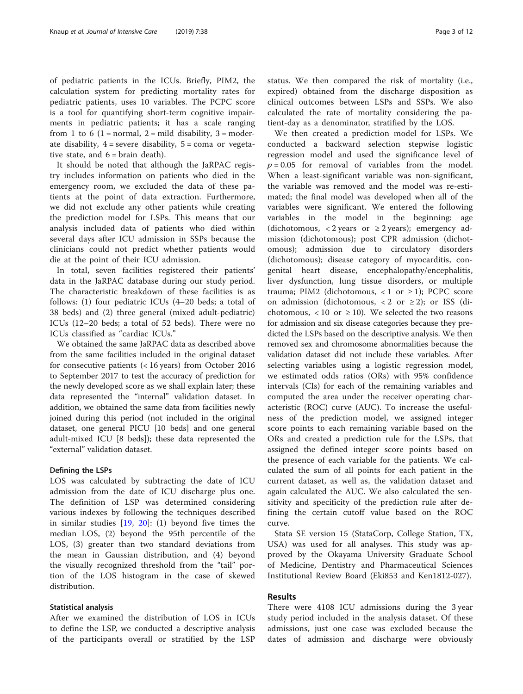of pediatric patients in the ICUs. Briefly, PIM2, the calculation system for predicting mortality rates for pediatric patients, uses 10 variables. The PCPC score is a tool for quantifying short-term cognitive impairments in pediatric patients; it has a scale ranging from 1 to 6 (1 = normal, 2 = mild disability, 3 = moderate disability,  $4 =$  severe disability,  $5 =$  coma or vegetative state, and  $6 = \text{brain death}$ .

It should be noted that although the JaRPAC registry includes information on patients who died in the emergency room, we excluded the data of these patients at the point of data extraction. Furthermore, we did not exclude any other patients while creating the prediction model for LSPs. This means that our analysis included data of patients who died within several days after ICU admission in SSPs because the clinicians could not predict whether patients would die at the point of their ICU admission.

In total, seven facilities registered their patients' data in the JaRPAC database during our study period. The characteristic breakdown of these facilities is as follows: (1) four pediatric ICUs (4–20 beds; a total of 38 beds) and (2) three general (mixed adult-pediatric) ICUs (12–20 beds; a total of 52 beds). There were no ICUs classified as "cardiac ICUs."

We obtained the same JaRPAC data as described above from the same facilities included in the original dataset for consecutive patients (< 16 years) from October 2016 to September 2017 to test the accuracy of prediction for the newly developed score as we shall explain later; these data represented the "internal" validation dataset. In addition, we obtained the same data from facilities newly joined during this period (not included in the original dataset, one general PICU [10 beds] and one general adult-mixed ICU [8 beds]); these data represented the "external" validation dataset.

## Defining the LSPs

LOS was calculated by subtracting the date of ICU admission from the date of ICU discharge plus one. The definition of LSP was determined considering various indexes by following the techniques described in similar studies [\[19](#page-11-0), [20\]](#page-11-0): (1) beyond five times the median LOS, (2) beyond the 95th percentile of the LOS, (3) greater than two standard deviations from the mean in Gaussian distribution, and (4) beyond the visually recognized threshold from the "tail" portion of the LOS histogram in the case of skewed distribution.

## Statistical analysis

After we examined the distribution of LOS in ICUs to define the LSP, we conducted a descriptive analysis of the participants overall or stratified by the LSP status. We then compared the risk of mortality (i.e., expired) obtained from the discharge disposition as clinical outcomes between LSPs and SSPs. We also calculated the rate of mortality considering the patient-day as a denominator, stratified by the LOS.

We then created a prediction model for LSPs. We conducted a backward selection stepwise logistic regression model and used the significance level of  $p = 0.05$  for removal of variables from the model. When a least-significant variable was non-significant, the variable was removed and the model was re-estimated; the final model was developed when all of the variables were significant. We entered the following variables in the model in the beginning: age (dichotomous, < 2 years or  $\geq$  2 years); emergency admission (dichotomous); post CPR admission (dichotomous); admission due to circulatory disorders (dichotomous); disease category of myocarditis, congenital heart disease, encephalopathy/encephalitis, liver dysfunction, lung tissue disorders, or multiple trauma; PIM2 (dichotomous,  $< 1$  or  $\geq 1$ ); PCPC score on admission (dichotomous,  $< 2$  or  $\ge 2$ ); or ISS (dichotomous, < 10 or  $\geq$  10). We selected the two reasons for admission and six disease categories because they predicted the LSPs based on the descriptive analysis. We then removed sex and chromosome abnormalities because the validation dataset did not include these variables. After selecting variables using a logistic regression model, we estimated odds ratios (ORs) with 95% confidence intervals (CIs) for each of the remaining variables and computed the area under the receiver operating characteristic (ROC) curve (AUC). To increase the usefulness of the prediction model, we assigned integer score points to each remaining variable based on the ORs and created a prediction rule for the LSPs, that assigned the defined integer score points based on the presence of each variable for the patients. We calculated the sum of all points for each patient in the current dataset, as well as, the validation dataset and again calculated the AUC. We also calculated the sensitivity and specificity of the prediction rule after defining the certain cutoff value based on the ROC curve.

Stata SE version 15 (StataCorp, College Station, TX, USA) was used for all analyses. This study was approved by the Okayama University Graduate School of Medicine, Dentistry and Pharmaceutical Sciences Institutional Review Board (Eki853 and Ken1812-027).

## Results

There were 4108 ICU admissions during the 3 year study period included in the analysis dataset. Of these admissions, just one case was excluded because the dates of admission and discharge were obviously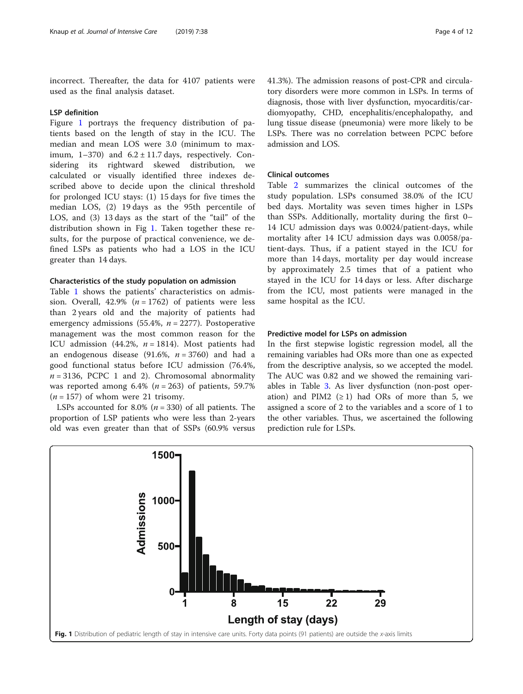incorrect. Thereafter, the data for 4107 patients were used as the final analysis dataset.

## LSP definition

Figure 1 portrays the frequency distribution of patients based on the length of stay in the ICU. The median and mean LOS were 3.0 (minimum to maximum,  $1-370$ ) and  $6.2 \pm 11.7$  days, respectively. Considering its rightward skewed distribution, we calculated or visually identified three indexes described above to decide upon the clinical threshold for prolonged ICU stays: (1) 15 days for five times the median LOS, (2) 19 days as the 95th percentile of LOS, and (3) 13 days as the start of the "tail" of the distribution shown in Fig 1. Taken together these results, for the purpose of practical convenience, we defined LSPs as patients who had a LOS in the ICU greater than 14 days.

## Characteristics of the study population on admission

Table [1](#page-4-0) shows the patients' characteristics on admission. Overall, 42.9% ( $n = 1762$ ) of patients were less than 2 years old and the majority of patients had emergency admissions (55.4%,  $n = 2277$ ). Postoperative management was the most common reason for the ICU admission (44.2%,  $n = 1814$ ). Most patients had an endogenous disease (91.6%,  $n = 3760$ ) and had a good functional status before ICU admission (76.4%,  $n = 3136$ , PCPC 1 and 2). Chromosomal abnormality was reported among  $6.4\%$  ( $n = 263$ ) of patients, 59.7%  $(n = 157)$  of whom were 21 trisomy.

LSPs accounted for 8.0% ( $n = 330$ ) of all patients. The proportion of LSP patients who were less than 2-years old was even greater than that of SSPs (60.9% versus 41.3%). The admission reasons of post-CPR and circulatory disorders were more common in LSPs. In terms of diagnosis, those with liver dysfunction, myocarditis/cardiomyopathy, CHD, encephalitis/encephalopathy, and lung tissue disease (pneumonia) were more likely to be LSPs. There was no correlation between PCPC before admission and LOS.

## Clinical outcomes

Table [2](#page-6-0) summarizes the clinical outcomes of the study population. LSPs consumed 38.0% of the ICU bed days. Mortality was seven times higher in LSPs than SSPs. Additionally, mortality during the first 0– 14 ICU admission days was 0.0024/patient-days, while mortality after 14 ICU admission days was 0.0058/patient-days. Thus, if a patient stayed in the ICU for more than 14 days, mortality per day would increase by approximately 2.5 times that of a patient who stayed in the ICU for 14 days or less. After discharge from the ICU, most patients were managed in the same hospital as the ICU.

## Predictive model for LSPs on admission

In the first stepwise logistic regression model, all the remaining variables had ORs more than one as expected from the descriptive analysis, so we accepted the model. The AUC was 0.82 and we showed the remaining variables in Table [3](#page-7-0). As liver dysfunction (non-post operation) and PIM2  $(≥ 1)$  had ORs of more than 5, we assigned a score of 2 to the variables and a score of 1 to the other variables. Thus, we ascertained the following prediction rule for LSPs.

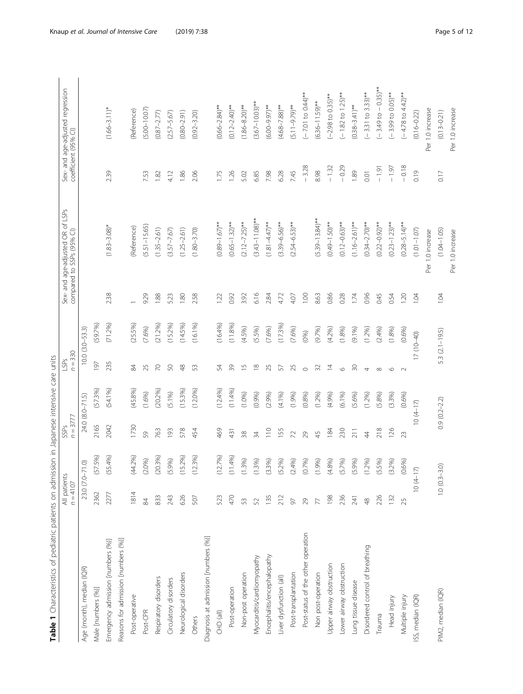<span id="page-4-0"></span>

| Table 1 Characteristics of pediatric patients on admissi |                            |                        |                    | on in Japanese intensive care units |                   |                     |      |                                                               |         |                                                          |
|----------------------------------------------------------|----------------------------|------------------------|--------------------|-------------------------------------|-------------------|---------------------|------|---------------------------------------------------------------|---------|----------------------------------------------------------|
|                                                          | All patients<br>$n = 4107$ |                        | $n = 3777$<br>SSP. |                                     | $n = 330$<br>LSPs |                     |      | Sex- and age-adjusted OR of LSPs<br>compared to SSPs (95% Cl) |         | Sex- and age-adjusted regression<br>coefficient (95% Cl) |
| Age (month), median (IQR)                                |                            | Ô.<br>23.0 (7.0-71     |                    | 24.0 (8.0-71.5)                     |                   | $10.0 (3.0 - 53.3)$ |      |                                                               |         |                                                          |
| Male [numbers (%)]                                       | 2362                       | 5%)<br>(5)             | 2165               | (57.3%)                             | 197               | (59.7%)             |      |                                                               |         |                                                          |
| Emergency admission [numbers (%)]                        | 2277                       | 4%)<br>(55)            | 2042               | (54.1%)                             | 235               | (71.2%)             | 2.38 | $(1.83 - 3.08)^*$                                             | 239     | $(1.66 - 3.11)^*$                                        |
| Reasons for admission [numbers (%)]                      |                            |                        |                    |                                     |                   |                     |      |                                                               |         |                                                          |
| Post-operative                                           | 1814                       | $-2%$<br>$\widehat{A}$ | 1730               | (45.8%)                             | 84                | (25.5%)             |      | (Reference)                                                   |         | (Reference)                                              |
| Post-CPR                                                 | $\infty$                   | (2.0%                  | 59                 | (1.6%)                              | 25                | (7.6%)              | 9.29 | $(5.51 - 15.65)$                                              | 7.53    | $(5.00 - 10.07)$                                         |
| Respiratory disorders                                    | 833                        | (20.3%)                | 763                | (20.2%)                             | $\overline{C}$    | (21.2%)             | 1.88 | $(1.35 - 2.61)$                                               | 1.82    | $(0.87 - 2.77)$                                          |
| Circulatory disorders                                    | 243                        | (5.9%)                 | 193                | (5.1%)                              | 50                | (15.2%)             | 5.23 | $(3.57 - 7.67)$                                               | 4.12    | $(2.57 - 5.67)$                                          |
| Neurological disorders                                   | 626                        | 5.2%)<br>$\frac{5}{1}$ | 578                | (15.3%)                             | $\frac{8}{3}$     | (14.5%)             | 1.80 | $(1.25 - 2.61)$                                               | 1.86    | $(0.80 - 2.91)$                                          |
| Others                                                   | 507                        | 3%)<br>$\sum$          | 454                | (12.0%)                             | 53                | (16.1%)             | 2.58 | $(1.80 - 3.70)$                                               | 2.06    | $(0.92 - 3.20)$                                          |
| Diagnosis at admission [numbers (%)]                     |                            |                        |                    |                                     |                   |                     |      |                                                               |         |                                                          |
| CHD (all)                                                | 523                        | (12.7%)                | 469                | (12.4%)                             | 54                | (16.4%)             | 1.22 | $(0.89 - 1.67)$ **                                            | 1.75    | $(0.66 - 2.84)$ **                                       |
| Post-operation                                           | 470                        | .4%)<br>$\Xi$          | 431                | (11.4%)                             | 39                | (11.8%              | 0.92 | $(0.65 - 1.32)$ **                                            | 1.26    | $(0.12 - 2.40)$ **                                       |
| Non-post operation                                       | 53                         | (1.3%)                 | 38                 | (1.0%                               | $\overline{1}$    | (4.5%)              | 3.92 | $(2.12 - 7.25)$ **                                            | 5.02    | $(1.86 - 8.20)$ **                                       |
| Myocarditis/cardiomyopathy                               | 52                         | (1.3%)                 | 34                 | (0.9%)                              | $\frac{8}{10}$    | (5.5%)              | 6.16 | $(3.43 - 11.08)$ **                                           | 6.85    | $(3.67 - 10.03)$ **                                      |
| Encephalitis/encephalopathy                              | 135                        | (3.3%)                 | 110                | (2.9%)                              | 25                | (7.6%)              | 2.84 | $(1.81 - 4.47)$ **                                            | 7.98    | $(6.00 - 9.97)$ **                                       |
| Liver dysfunction (all)                                  | 212                        | (5.2%)                 | 155                | (4.1%                               | 57                | (17.3%)             | 4.72 | $(3.39 - 6.56)$ **                                            | 6.28    | $(4.68 - 7.88)$ **                                       |
| Post-transplantation                                     | 57                         | (2.4%)                 | $\overline{z}$     | (1.9%)                              | 25                | (7.6%)              | 4.07 | $(2.54 - 6.53)$ **                                            | 7.45    | $(5.11 - 9.79)$ **                                       |
| Post-status of the other operation                       | 29                         | (0.7%)                 | 29                 | (0.8%)                              | $\circ$           | (0%)                | 1.00 |                                                               | $-3.28$ | $(-7.01$ to 0.44)**                                      |
| Non post-operation                                       | 77                         | (1.9%)                 | $\overline{4}$     | (1.2%)                              | 32                | (9.7%)              | 8.63 | $(5.39 - 13.84)$ **                                           | 8.98    | $(6.36 - 11.59)$ **                                      |
| Upper airway obstruction                                 | 198                        | (4.8%)                 | 184                | (4.9%)                              | $\overline{4}$    | (4.2%               | 0.86 | $(0.49 - 1.50)$ **                                            | $-1.32$ | $(-2.98 \text{ to } 0.35)$ **                            |
| Lower airway obstruction                                 | 236                        | (5.7%)                 | 230                | (6.1%)                              | $\circ$           | (1.8%               | 0.28 | $(0.12 - 0.63)$ **                                            | $-0.29$ | $(-1.82 \text{ to } 1.25)$ **                            |
| Lung tissue disease                                      | 241                        | (5.9%)                 | 211                | (5.6%)                              | 50                | $(9.1\%)$           | 1.74 | $(1.16 - 2.61)$ **                                            | 1.89    | $(0.38 - 3.41)$ **                                       |
| Disordered control of breathing                          | $\frac{8}{3}$              | (1.2%)                 | $\overline{4}$     | (1.2%)                              | 4                 | (1.2%)              | 0.96 | $(0.34 - 2.70)$ **                                            | 0.01    | $(-3.31$ to 3.33)**                                      |
| Trauma                                                   | 226                        | (5.5%)                 | 218                | (5.8%)                              | $\infty$          | (2.4%)              | 0.45 | $(0.22 - 0.92)$ **                                            | $-1.91$ | $-0.35$ <sup>**</sup><br>$(-3.49)$ to                    |
| Head injury                                              | 132                        | (3.2%)                 | 126                | (3.3%)                              | $\circ$           | (1.8%)              | 0.54 | $(0.23 - 1.23)$ **                                            | $-1.97$ | $(-3.99 \text{ to } 0.05)$ **                            |
| Multiple injury                                          | 25                         | (0.6%)                 | 23                 | (0.6%)                              | $\sim$            | (0.6%)              | 1.20 | $(0.28 - 5.14)$ **                                            | $-0.18$ | $(-4.78 \text{ to } 4.42)$ **                            |
| ISS, median (IQR)                                        |                            | $10(4-17)$             |                    | $10(4-17)$                          |                   | $17(10-40)$         | 1.04 | $(1.01 - 1.07)$                                               | 0.19    | $(0.16 - 0.22)$                                          |
|                                                          |                            |                        |                    |                                     |                   |                     |      | Per 1.0 increase                                              |         | Per 1.0 increase                                         |
| PIM2, median (IQR)                                       |                            | $1.0 (0.3 - 3.0)$      |                    | $0.9(0.2 - 2.2)$                    |                   | 5.3 (2.1-19.5)      | 1.04 | $(1.04 - 1.05)$                                               | 0.17    | $(0.13 - 0.21)$                                          |
|                                                          |                            |                        |                    |                                     |                   |                     |      | Per 10 increase                                               |         | Per 10 increase                                          |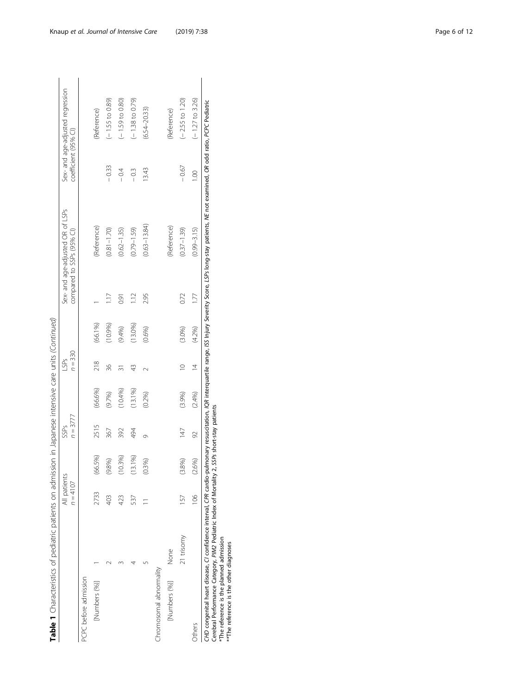| Table 1 Characteristics of pediatric patients on admission in Japanese intensive care units (Continued)                                                   |            |                            |                      |                          |         |                   |         |               |                                                                                                                                                                                                                       |                      |                                  |
|-----------------------------------------------------------------------------------------------------------------------------------------------------------|------------|----------------------------|----------------------|--------------------------|---------|-------------------|---------|---------------|-----------------------------------------------------------------------------------------------------------------------------------------------------------------------------------------------------------------------|----------------------|----------------------------------|
|                                                                                                                                                           |            | All patients<br>$n = 4107$ |                      | $n = 3777$<br>SSPs       |         | $n = 330$<br>LSPs |         |               | Sex- and age-adjusted OR of LSPs<br>compared to SSPs (95% CI)                                                                                                                                                         | coefficient (95% CI) | Sex- and age-adjusted regression |
| PCPC before admission                                                                                                                                     |            |                            |                      |                          |         |                   |         |               |                                                                                                                                                                                                                       |                      |                                  |
| [Numbers (%)]                                                                                                                                             |            | 2733                       | 5%)<br>$\mathcal{S}$ | 2515                     | (66.6%) | 218               | (66.1%) |               | (Reference)                                                                                                                                                                                                           |                      | (Reference)                      |
|                                                                                                                                                           |            | 403                        | (9.8%)               | 367                      | (9.7%)  | 36                | (10.9%  | Ξ             | $(0.81 - 1.70)$                                                                                                                                                                                                       | $-0.33$              | $(-1.55$ to 0.89)                |
|                                                                                                                                                           |            | 423                        | 3%)<br>Ξ             | 392                      | (10.4%) | ్గ                | (9.4%)  | 0.91          | $(0.62 - 1.35)$                                                                                                                                                                                                       | $-0.4$               | $(-1.59$ to 0.80)                |
|                                                                                                                                                           |            | 537                        | (13.1%)              | 494                      | (13.1%) | 43                | (13.0%) | $\frac{1}{2}$ | $(0.79 - 1.59)$                                                                                                                                                                                                       | $-0.3$               | $(-1.38$ to 0.79)                |
|                                                                                                                                                           |            |                            | (0.3%)               | Ō                        | (0.2%)  |                   | (0.6%)  | 2.95          | $(0.63 - 13.84)$                                                                                                                                                                                                      | 13.43                | $(6.54 - 20.33)$                 |
| Chromosomal abnormality                                                                                                                                   |            |                            |                      |                          |         |                   |         |               |                                                                                                                                                                                                                       |                      |                                  |
| [Numbers (%)]                                                                                                                                             | None       |                            |                      |                          |         |                   |         |               | (Reference)                                                                                                                                                                                                           |                      | (Reference)                      |
|                                                                                                                                                           | 21 trisomy | 157                        | (3.8%)               | 147                      | (3.9%)  | $\supseteq$       | (3.0%   | 0.72          | $(0.37 - 1.39)$                                                                                                                                                                                                       | $-0.67$              | $(-2.55$ to 1.20)                |
| Others                                                                                                                                                    |            | $\frac{8}{1}$              | (2.6%)               | $\Im$                    | (2.4%)  | $\overline{4}$    | (4.2%)  | 1.77          | $(0.99 - 3.15)$                                                                                                                                                                                                       | 001                  | $(-1.27$ to 3.26)                |
| Cerebral Performance Category, PIM2 Pediatric Index of Mortality 2,<br>*The reference is the planned admission<br>** The reference is the other diagnoses |            |                            |                      | SSPs short-stay patients |         |                   |         |               | CHD congenital heart disease, CI confidence interval, CPR cardio-pullmonary resuscitation, IQR interquartile range, ISS lingy Scoverity Score, LSPs long-stay patients, NE not examined, OR odd ratio, PCPC Pediatric |                      |                                  |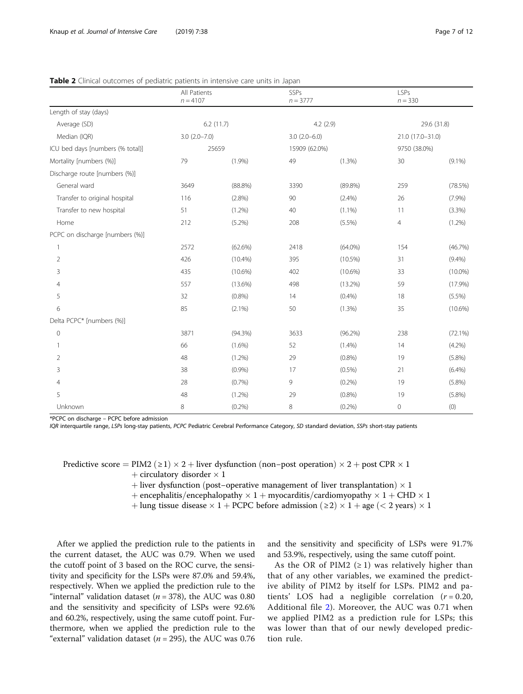|                                  | All Patients      |            | SSPs           |            | <b>LSPs</b>      |             |
|----------------------------------|-------------------|------------|----------------|------------|------------------|-------------|
|                                  | $n = 4107$        |            | $n = 3777$     |            | $n = 330$        |             |
| Length of stay (days)            |                   |            |                |            |                  |             |
| Average (SD)                     |                   | 6.2(11.7)  |                | 4.2(2.9)   |                  | 29.6 (31.8) |
| Median (IQR)                     | $3.0 (2.0 - 7.0)$ |            | $3.0(2.0-6.0)$ |            | 21.0 (17.0-31.0) |             |
| ICU bed days [numbers (% total)] |                   | 25659      | 15909 (62.0%)  |            | 9750 (38.0%)     |             |
| Mortality [numbers (%)]          | 79                | (1.9%)     | 49             | (1.3%)     | 30               | $(9.1\%)$   |
| Discharge route [numbers (%)]    |                   |            |                |            |                  |             |
| General ward                     | 3649              | $(88.8\%)$ | 3390           | $(89.8\%)$ | 259              | (78.5%)     |
| Transfer to original hospital    | 116               | $(2.8\%)$  | 90             | (2.4%)     | 26               | (7.9%)      |
| Transfer to new hospital         | 51                | (1.2%)     | 40             | $(1.1\%)$  | 11               | (3.3%)      |
| Home                             | 212               | (5.2%)     | 208            | (5.5%)     | $\overline{4}$   | $(1.2\%)$   |
| PCPC on discharge [numbers (%)]  |                   |            |                |            |                  |             |
|                                  | 2572              | $(62.6\%)$ | 2418           | $(64.0\%)$ | 154              | (46.7%)     |
| 2                                | 426               | $(10.4\%)$ | 395            | $(10.5\%)$ | 31               | $(9.4\%)$   |
| 3                                | 435               | $(10.6\%)$ | 402            | $(10.6\%)$ | 33               | $(10.0\%)$  |
| 4                                | 557               | $(13.6\%)$ | 498            | $(13.2\%)$ | 59               | (17.9%)     |
| 5                                | 32                | $(0.8\%)$  | 14             | (0.4% )    | 18               | $(5.5\%)$   |
| 6                                | 85                | $(2.1\%)$  | 50             | (1.3%)     | 35               | $(10.6\%)$  |
| Delta PCPC* [numbers (%)]        |                   |            |                |            |                  |             |
| $\mathbf 0$                      | 3871              | $(94.3\%)$ | 3633           | $(96.2\%)$ | 238              | $(72.1\%)$  |
|                                  | 66                | $(1.6\%)$  | 52             | $(1.4\%)$  | 14               | $(4.2\%)$   |
| $\overline{2}$                   | 48                | $(1.2\%)$  | 29             | (0.8% )    | 19               | (5.8%)      |
| 3                                | 38                | (0.9%      | 17             | $(0.5\%)$  | 21               | (6.4%)      |
| 4                                | 28                | (0.7%)     | 9              | $(0.2\%)$  | 19               | (5.8%)      |
| 5                                | 48                | $(1.2\%)$  | 29             | (0.8%)     | 19               | $(5.8\%)$   |
| Unknown                          | 8                 | (0.2%)     | 8              | (0.2%)     | $\mathbf 0$      | (0)         |

## <span id="page-6-0"></span>Table 2 Clinical outcomes of pediatric patients in intensive care units in Japan

\*PCPC on discharge – PCPC before admission

IQR interquartile range, LSPs long-stay patients, PCPC Pediatric Cerebral Performance Category, SD standard deviation, SSPs short-stay patients

Predictive score = PIM2 ( $\geq$  1)  $\times$  2 + liver dysfunction (non-post operation)  $\times$  2 + post CPR  $\times$  1

 $+$  circulatory disorder  $\times$  1

- $+$  liver dysfunction (post–operative management of liver transplantation)  $\times$  1
- + encephalitis/encephalopathy  $\times$  1 + myocarditis/cardiomyopathy  $\times$  1 + CHD  $\times$  1

+ lung tissue disease  $\times$  1 + PCPC before admission ( $\ge$ 2)  $\times$  1 + age ( $\lt$  2 years)  $\times$  1

After we applied the prediction rule to the patients in the current dataset, the AUC was 0.79. When we used the cutoff point of 3 based on the ROC curve, the sensitivity and specificity for the LSPs were 87.0% and 59.4%, respectively. When we applied the prediction rule to the "internal" validation dataset ( $n = 378$ ), the AUC was 0.80 and the sensitivity and specificity of LSPs were 92.6% and 60.2%, respectively, using the same cutoff point. Furthermore, when we applied the prediction rule to the "external" validation dataset ( $n = 295$ ), the AUC was 0.76 and the sensitivity and specificity of LSPs were 91.7% and 53.9%, respectively, using the same cutoff point.

As the OR of PIM2  $(≥ 1)$  was relatively higher than that of any other variables, we examined the predictive ability of PIM2 by itself for LSPs. PIM2 and patients' LOS had a negligible correlation  $(r = 0.20,$ Additional file [2\)](#page-10-0). Moreover, the AUC was 0.71 when we applied PIM2 as a prediction rule for LSPs; this was lower than that of our newly developed prediction rule.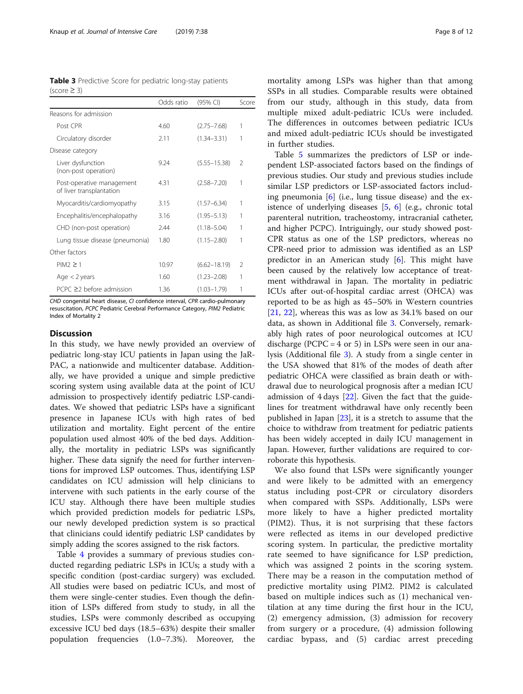<span id="page-7-0"></span>

| <b>Table 3</b> Predictive Score for pediatric long-stay patients |  |  |
|------------------------------------------------------------------|--|--|
| $(score \geq 3)$                                                 |  |  |

|                                                       | Odds ratio | (95% CI)         | Score          |
|-------------------------------------------------------|------------|------------------|----------------|
| Reasons for admission                                 |            |                  |                |
| Post CPR                                              | 460        | $(2.75 - 7.68)$  | 1              |
| Circulatory disorder                                  | 2.11       | $(1.34 - 3.31)$  | 1              |
| Disease category                                      |            |                  |                |
| Liver dysfunction<br>(non-post operation)             | 9.24       | $(5.55 - 15.38)$ | $\mathfrak{D}$ |
| Post-operative management<br>of liver transplantation | 4.31       | $(2.58 - 7.20)$  | 1              |
| Myocarditis/cardiomyopathy                            | 3.15       | $(1.57 - 6.34)$  | 1              |
| Encephalitis/encephalopathy                           | 3.16       | $(1.95 - 5.13)$  | 1              |
| CHD (non-post operation)                              | 2.44       | $(1.18 - 5.04)$  | 1              |
| Lung tissue disease (pneumonia)                       | 1.80       | $(1.15 - 2.80)$  | 1              |
| Other factors                                         |            |                  |                |
| $PIM2 \geq 1$                                         | 10.97      | $(6.62 - 18.19)$ | $\mathfrak{D}$ |
| Age $<$ 2 years                                       | 1.60       | $(1.23 - 2.08)$  | 1              |
| $PCPC \geq 2$ before admission                        | 1.36       | $(1.03 - 1.79)$  | 1              |

CHD congenital heart disease, CI confidence interval, CPR cardio-pulmonary resuscitation, PCPC Pediatric Cerebral Performance Category, PIM2 Pediatric Index of Mortality 2

## **Discussion**

In this study, we have newly provided an overview of pediatric long-stay ICU patients in Japan using the JaR-PAC, a nationwide and multicenter database. Additionally, we have provided a unique and simple predictive scoring system using available data at the point of ICU admission to prospectively identify pediatric LSP-candidates. We showed that pediatric LSPs have a significant presence in Japanese ICUs with high rates of bed utilization and mortality. Eight percent of the entire population used almost 40% of the bed days. Additionally, the mortality in pediatric LSPs was significantly higher. These data signify the need for further interventions for improved LSP outcomes. Thus, identifying LSP candidates on ICU admission will help clinicians to intervene with such patients in the early course of the ICU stay. Although there have been multiple studies which provided prediction models for pediatric LSPs, our newly developed prediction system is so practical that clinicians could identify pediatric LSP candidates by simply adding the scores assigned to the risk factors.

Table [4](#page-8-0) provides a summary of previous studies conducted regarding pediatric LSPs in ICUs; a study with a specific condition (post-cardiac surgery) was excluded. All studies were based on pediatric ICUs, and most of them were single-center studies. Even though the definition of LSPs differed from study to study, in all the studies, LSPs were commonly described as occupying excessive ICU bed days (18.5–63%) despite their smaller population frequencies (1.0–7.3%). Moreover, the mortality among LSPs was higher than that among SSPs in all studies. Comparable results were obtained from our study, although in this study, data from multiple mixed adult-pediatric ICUs were included. The differences in outcomes between pediatric ICUs and mixed adult-pediatric ICUs should be investigated in further studies.

Table [5](#page-9-0) summarizes the predictors of LSP or independent LSP-associated factors based on the findings of previous studies. Our study and previous studies include similar LSP predictors or LSP-associated factors including pneumonia  $[6]$  (i.e., lung tissue disease) and the existence of underlying diseases [[5,](#page-10-0) [6](#page-10-0)] (e.g., chronic total parenteral nutrition, tracheostomy, intracranial catheter, and higher PCPC). Intriguingly, our study showed post-CPR status as one of the LSP predictors, whereas no CPR-need prior to admission was identified as an LSP predictor in an American study [[6\]](#page-10-0). This might have been caused by the relatively low acceptance of treatment withdrawal in Japan. The mortality in pediatric ICUs after out-of-hospital cardiac arrest (OHCA) was reported to be as high as 45–50% in Western countries [[21,](#page-11-0) [22](#page-11-0)], whereas this was as low as 34.1% based on our data, as shown in Additional file [3](#page-10-0). Conversely, remarkably high rates of poor neurological outcomes at ICU discharge (PCPC =  $4$  or  $5$ ) in LSPs were seen in our analysis (Additional file [3\)](#page-10-0). A study from a single center in the USA showed that 81% of the modes of death after pediatric OHCA were classified as brain death or withdrawal due to neurological prognosis after a median ICU admission of  $4$  days [\[22](#page-11-0)]. Given the fact that the guidelines for treatment withdrawal have only recently been published in Japan  $[23]$ , it is a stretch to assume that the choice to withdraw from treatment for pediatric patients has been widely accepted in daily ICU management in Japan. However, further validations are required to corroborate this hypothesis.

We also found that LSPs were significantly younger and were likely to be admitted with an emergency status including post-CPR or circulatory disorders when compared with SSPs. Additionally, LSPs were more likely to have a higher predicted mortality (PIM2). Thus, it is not surprising that these factors were reflected as items in our developed predictive scoring system. In particular, the predictive mortality rate seemed to have significance for LSP prediction, which was assigned 2 points in the scoring system. There may be a reason in the computation method of predictive mortality using PIM2. PIM2 is calculated based on multiple indices such as (1) mechanical ventilation at any time during the first hour in the ICU, (2) emergency admission, (3) admission for recovery from surgery or a procedure, (4) admission following cardiac bypass, and (5) cardiac arrest preceding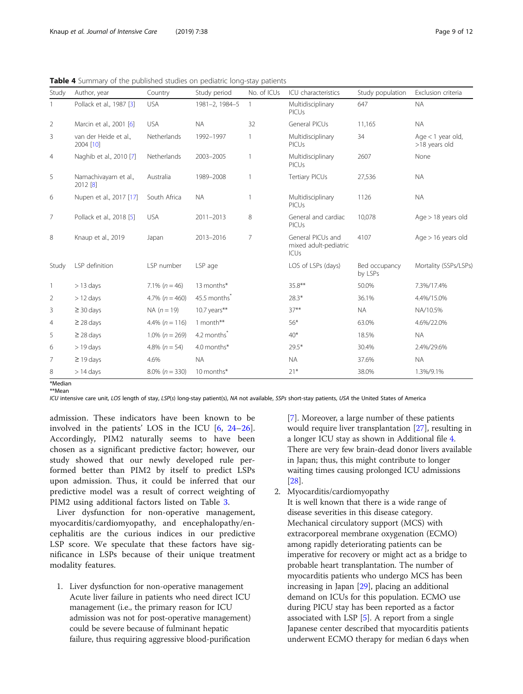<span id="page-8-0"></span>Table 4 Summary of the published studies on pediatric long-stay patients

| Study          | Author, year                       | Country               | Study period            | No. of ICUs    | ICU characteristics                                | Study population         | Exclusion criteria                   |
|----------------|------------------------------------|-----------------------|-------------------------|----------------|----------------------------------------------------|--------------------------|--------------------------------------|
|                | Pollack et al., 1987 [3]           | <b>USA</b>            | 1981-2, 1984-5          | $\overline{1}$ | Multidisciplinary<br>PICUs                         | 647                      | <b>NA</b>                            |
| $\overline{2}$ | Marcin et al., 2001 [6]            | <b>USA</b>            | <b>NA</b>               | 32             | General PICUs                                      | 11,165                   | <b>NA</b>                            |
| 3              | van der Heide et al.,<br>2004 [10] | Netherlands           | 1992-1997               | 1              | Multidisciplinary<br>PICUs                         | 34                       | Age $<$ 1 year old,<br>>18 years old |
| 4              | Naghib et al., 2010 [7]            | Netherlands           | 2003-2005               | 1              | Multidisciplinary<br>PICUs                         | 2607                     | None                                 |
| 5              | Namachivayam et al.,<br>2012 [8]   | Australia             | 1989-2008               | 1              | Tertiary PICUs                                     | 27,536                   | <b>NA</b>                            |
| 6              | Nupen et al., 2017 [17]            | South Africa          | <b>NA</b>               | 1              | Multidisciplinary<br>PICUs                         | 1126                     | <b>NA</b>                            |
| $\overline{7}$ | Pollack et al., 2018 [5]           | <b>USA</b>            | 2011-2013               | 8              | General and cardiac<br>PICUs                       | 10,078                   | Age $>$ 18 years old                 |
| 8              | Knaup et al., 2019                 | Japan                 | 2013-2016               | $\overline{7}$ | General PICUs and<br>mixed adult-pediatric<br>ICUs | 4107                     | Age $> 16$ years old                 |
| Study          | LSP definition                     | LSP number            | LSP age                 |                | LOS of LSPs (days)                                 | Bed occupancy<br>by LSPs | Mortality (SSPs/LSPs)                |
| $\overline{1}$ | $>$ 13 days                        | 7.1% $(n = 46)$       | 13 months*              |                | $35.8***$                                          | 50.0%                    | 7.3%/17.4%                           |
| 2              | $>$ 12 days                        | 4.7% ( $n = 460$ )    | 45.5 months             |                | $28.3*$                                            | 36.1%                    | 4.4%/15.0%                           |
| 3              | $\geq$ 30 days                     | $NA (n = 19)$         | 10.7 years**            |                | $37***$                                            | <b>NA</b>                | NA/10.5%                             |
| $\overline{4}$ | $\geq$ 28 days                     | 4.4% $(n = 116)$      | 1 month**               |                | $56*$                                              | 63.0%                    | 4.6%/22.0%                           |
| 5              | $\geq$ 28 days                     | $1.0\%$ ( $n = 269$ ) | 4.2 months <sup>*</sup> |                | $40*$                                              | 18.5%                    | <b>NA</b>                            |
| 6              | $>$ 19 days                        | 4.8% $(n = 54)$       | 4.0 months*             |                | $29.5*$                                            | 30.4%                    | 2.4%/29.6%                           |
| 7              | $\geq$ 19 days                     | 4.6%                  | <b>NA</b>               |                | <b>NA</b>                                          | 37.6%                    | <b>NA</b>                            |
| 8              | $>14$ days                         | $8.0\%$ ( $n = 330$ ) | 10 months*              |                | $21*$                                              | 38.0%                    | 1.3%/9.1%                            |
| $*Modian$      |                                    |                       |                         |                |                                                    |                          |                                      |

\*\*Mean

ICU intensive care unit, LOS length of stay, LSP(s) long-stay patient(s), NA not available, SSPs short-stay patients, USA the United States of America

admission. These indicators have been known to be involved in the patients' LOS in the ICU [[6](#page-10-0), [24](#page-11-0)–[26](#page-11-0)]. Accordingly, PIM2 naturally seems to have been chosen as a significant predictive factor; however, our study showed that our newly developed rule performed better than PIM2 by itself to predict LSPs upon admission. Thus, it could be inferred that our predictive model was a result of correct weighting of PIM2 using additional factors listed on Table [3.](#page-7-0)

Liver dysfunction for non-operative management, myocarditis/cardiomyopathy, and encephalopathy/encephalitis are the curious indices in our predictive LSP score. We speculate that these factors have significance in LSPs because of their unique treatment modality features.

1. Liver dysfunction for non-operative management Acute liver failure in patients who need direct ICU management (i.e., the primary reason for ICU admission was not for post-operative management) could be severe because of fulminant hepatic failure, thus requiring aggressive blood-purification

[[7](#page-10-0)]. Moreover, a large number of these patients would require liver transplantation [[27](#page-11-0)], resulting in a longer ICU stay as shown in Additional file [4](#page-10-0). There are very few brain-dead donor livers available in Japan; thus, this might contribute to longer waiting times causing prolonged ICU admissions [[28](#page-11-0)].

- 2. Myocarditis/cardiomyopathy
	- It is well known that there is a wide range of disease severities in this disease category. Mechanical circulatory support (MCS) with extracorporeal membrane oxygenation (ECMO) among rapidly deteriorating patients can be imperative for recovery or might act as a bridge to probable heart transplantation. The number of myocarditis patients who undergo MCS has been increasing in Japan [[29](#page-11-0)], placing an additional demand on ICUs for this population. ECMO use during PICU stay has been reported as a factor associated with LSP [\[5](#page-10-0)]. A report from a single Japanese center described that myocarditis patients underwent ECMO therapy for median 6 days when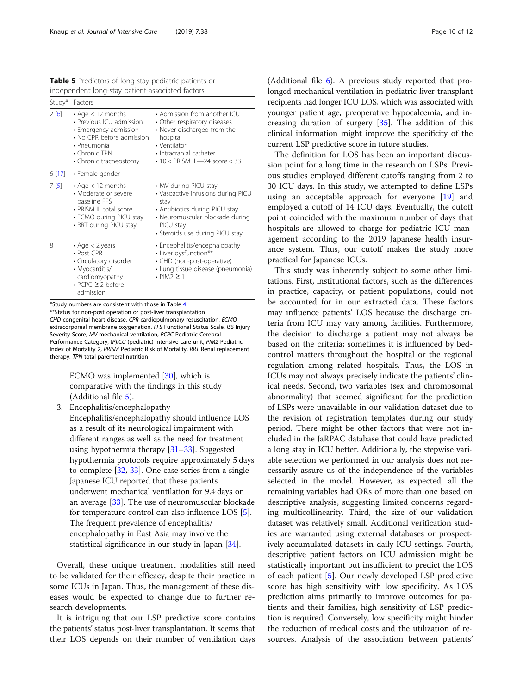<span id="page-9-0"></span>Table 5 Predictors of long-stay pediatric patients or independent long-stay patient-associated factors

| Study* | Factors                                                                                                                                                                          |                                                                                                                                                                                            |
|--------|----------------------------------------------------------------------------------------------------------------------------------------------------------------------------------|--------------------------------------------------------------------------------------------------------------------------------------------------------------------------------------------|
| 2[6]   | $\bm{\cdot}$ Age $<$ 12 months<br>• Previous ICU admission<br>• Emergency admission<br>• No CPR before admission<br>• Pneumonia<br>$\cdot$ Chronic TPN<br>• Chronic tracheostomy | • Admission from another ICU<br>• Other respiratory diseases<br>• Never discharged from the<br>hospital<br>• Ventilator<br>· Intracranial catheter<br>$\cdot$ 10 < PRISM III—24 score < 33 |
|        | 6 $[17]$ · Female gender                                                                                                                                                         |                                                                                                                                                                                            |
| 7 [5]  | $\cdot$ Age $<$ 12 months<br>• Moderate or severe<br>baseline FFS<br>• PRISM III total score<br>• ECMO during PICU stay<br>• RRT during PICU stay                                | • MV during PICU stay<br>• Vasoactive infusions during PICU<br>stay<br>• Antibiotics during PICU stay<br>• Neuromuscular blockade during<br>PICU stay<br>• Steroids use during PICU stay   |
| 8      | $\cdot$ Age $<$ 2 years<br>• Post CPR<br>• Circulatory disorder<br>• Myocarditis/<br>cardiomyopathy<br>$\cdot$ PCPC $\geq$ 2 before<br>admission                                 | • Encephalitis/encephalopathy<br>• Liver dysfunction**<br>• CHD (non-post-operative)<br>• Lung tissue disease (pneumonia)<br>$\cdot$ PIM2 $\geq$ 1                                         |

\*Study numbers are consistent with those in Table [4](#page-8-0)

\*\*Status for non-post operation or post-liver transplantation CHD congenital heart disease, CPR cardiopulmonary resuscitation, ECMO extracorporeal membrane oxygenation, FFS Functional Status Scale, ISS Injury Severity Score, MV mechanical ventilation, PCPC Pediatric Cerebral Performance Category, (P)ICU (pediatric) intensive care unit, PIM2 Pediatric Index of Mortality 2, PRISM Pediatric Risk of Mortality, RRT Renal replacement therapy, TPN total parenteral nutrition

> ECMO was implemented [[30](#page-11-0)], which is comparative with the findings in this study (Additional file [5](#page-10-0)).

3. Encephalitis/encephalopathy

Encephalitis/encephalopathy should influence LOS as a result of its neurological impairment with different ranges as well as the need for treatment using hypothermia therapy [[31](#page-11-0)–[33](#page-11-0)]. Suggested hypothermia protocols require approximately 5 days to complete [\[32,](#page-11-0) [33\]](#page-11-0). One case series from a single Japanese ICU reported that these patients underwent mechanical ventilation for 9.4 days on an average [[33](#page-11-0)]. The use of neuromuscular blockade for temperature control can also influence LOS [[5\]](#page-10-0). The frequent prevalence of encephalitis/ encephalopathy in East Asia may involve the statistical significance in our study in Japan [[34](#page-11-0)].

Overall, these unique treatment modalities still need to be validated for their efficacy, despite their practice in some ICUs in Japan. Thus, the management of these diseases would be expected to change due to further research developments.

It is intriguing that our LSP predictive score contains the patients' status post-liver transplantation. It seems that their LOS depends on their number of ventilation days

(Additional file [6](#page-10-0)). A previous study reported that prolonged mechanical ventilation in pediatric liver transplant recipients had longer ICU LOS, which was associated with younger patient age, preoperative hypocalcemia, and increasing duration of surgery [\[35\]](#page-11-0). The addition of this clinical information might improve the specificity of the current LSP predictive score in future studies.

The definition for LOS has been an important discussion point for a long time in the research on LSPs. Previous studies employed different cutoffs ranging from 2 to 30 ICU days. In this study, we attempted to define LSPs using an acceptable approach for everyone [\[19](#page-11-0)] and employed a cutoff of 14 ICU days. Eventually, the cutoff point coincided with the maximum number of days that hospitals are allowed to charge for pediatric ICU management according to the 2019 Japanese health insurance system. Thus, our cutoff makes the study more practical for Japanese ICUs.

This study was inherently subject to some other limitations. First, institutional factors, such as the differences in practice, capacity, or patient populations, could not be accounted for in our extracted data. These factors may influence patients' LOS because the discharge criteria from ICU may vary among facilities. Furthermore, the decision to discharge a patient may not always be based on the criteria; sometimes it is influenced by bedcontrol matters throughout the hospital or the regional regulation among related hospitals. Thus, the LOS in ICUs may not always precisely indicate the patients' clinical needs. Second, two variables (sex and chromosomal abnormality) that seemed significant for the prediction of LSPs were unavailable in our validation dataset due to the revision of registration templates during our study period. There might be other factors that were not included in the JaRPAC database that could have predicted a long stay in ICU better. Additionally, the stepwise variable selection we performed in our analysis does not necessarily assure us of the independence of the variables selected in the model. However, as expected, all the remaining variables had ORs of more than one based on descriptive analysis, suggesting limited concerns regarding multicollinearity. Third, the size of our validation dataset was relatively small. Additional verification studies are warranted using external databases or prospectively accumulated datasets in daily ICU settings. Fourth, descriptive patient factors on ICU admission might be statistically important but insufficient to predict the LOS of each patient [\[5](#page-10-0)]. Our newly developed LSP predictive score has high sensitivity with low specificity. As LOS prediction aims primarily to improve outcomes for patients and their families, high sensitivity of LSP prediction is required. Conversely, low specificity might hinder the reduction of medical costs and the utilization of resources. Analysis of the association between patients'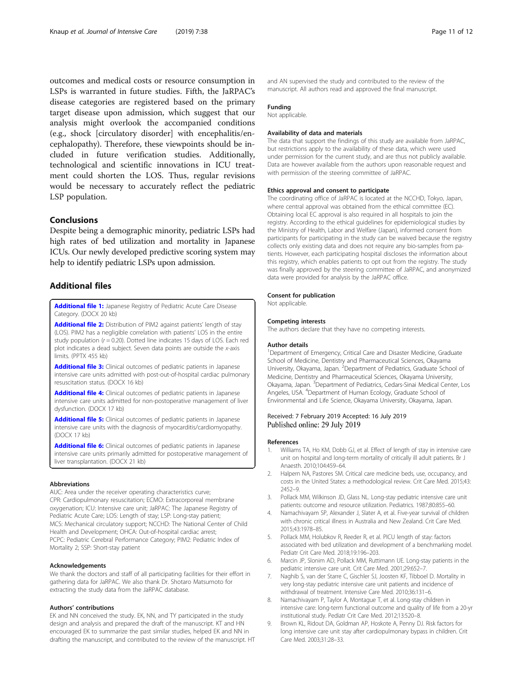<span id="page-10-0"></span>outcomes and medical costs or resource consumption in LSPs is warranted in future studies. Fifth, the JaRPAC's disease categories are registered based on the primary target disease upon admission, which suggest that our analysis might overlook the accompanied conditions (e.g., shock [circulatory disorder] with encephalitis/encephalopathy). Therefore, these viewpoints should be included in future verification studies. Additionally, technological and scientific innovations in ICU treatment could shorten the LOS. Thus, regular revisions would be necessary to accurately reflect the pediatric LSP population.

## Conclusions

Despite being a demographic minority, pediatric LSPs had high rates of bed utilization and mortality in Japanese ICUs. Our newly developed predictive scoring system may help to identify pediatric LSPs upon admission.

## Additional files

[Additional file 1:](https://doi.org/10.1186/s40560-019-0392-2) Japanese Registry of Pediatric Acute Care Disease Category. (DOCX 20 kb)

[Additional file 2:](https://doi.org/10.1186/s40560-019-0392-2) Distribution of PIM2 against patients' length of stay (LOS). PIM2 has a negligible correlation with patients' LOS in the entire study population  $(r = 0.20)$ . Dotted line indicates 15 days of LOS. Each red plot indicates a dead subject. Seven data points are outside the x-axis limits. (PPTX 455 kb)

[Additional file 3:](https://doi.org/10.1186/s40560-019-0392-2) Clinical outcomes of pediatric patients in Japanese intensive care units admitted with post-out-of-hospital cardiac pulmonary resuscitation status. (DOCX 16 kb)

[Additional file 4:](https://doi.org/10.1186/s40560-019-0392-2) Clinical outcomes of pediatric patients in Japanese intensive care units admitted for non-postoperative management of liver dysfunction. (DOCX 17 kb)

[Additional file 5:](https://doi.org/10.1186/s40560-019-0392-2) Clinical outcomes of pediatric patients in Japanese intensive care units with the diagnosis of myocarditis/cardiomyopathy. (DOCX 17 kb)

[Additional file 6:](https://doi.org/10.1186/s40560-019-0392-2) Clinical outcomes of pediatric patients in Japanese intensive care units primarily admitted for postoperative management of liver transplantation. (DOCX 21 kb)

#### Abbreviations

AUC: Area under the receiver operating characteristics curve; CPR: Cardiopulmonary resuscitation; ECMO: Extracorporeal membrane oxygenation; ICU: Intensive care unit; JaRPAC: The Japanese Registry of Pediatric Acute Care; LOS: Length of stay; LSP: Long-stay patient; MCS: Mechanical circulatory support; NCCHD: The National Center of Child Health and Development; OHCA: Out-of-hospital cardiac arrest; PCPC: Pediatric Cerebral Performance Category; PIM2: Pediatric Index of Mortality 2; SSP: Short-stay patient

## Acknowledgements

We thank the doctors and staff of all participating facilities for their effort in gathering data for JaRPAC. We also thank Dr. Shotaro Matsumoto for extracting the study data from the JaRPAC database.

### Authors' contributions

EK and NN conceived the study. EK, NN, and TY participated in the study design and analysis and prepared the draft of the manuscript. KT and HN encouraged EK to summarize the past similar studies, helped EK and NN in drafting the manuscript, and contributed to the review of the manuscript. HT and AN supervised the study and contributed to the review of the manuscript. All authors read and approved the final manuscript.

## Funding

Not applicable.

## Availability of data and materials

The data that support the findings of this study are available from JaRPAC, but restrictions apply to the availability of these data, which were used under permission for the current study, and are thus not publicly available. Data are however available from the authors upon reasonable request and with permission of the steering committee of JaRPAC.

#### Ethics approval and consent to participate

The coordinating office of JaRPAC is located at the NCCHD, Tokyo, Japan, where central approval was obtained from the ethical committee (EC). Obtaining local EC approval is also required in all hospitals to join the registry. According to the ethical guidelines for epidemiological studies by the Ministry of Health, Labor and Welfare (Japan), informed consent from participants for participating in the study can be waived because the registry collects only existing data and does not require any bio-samples from patients. However, each participating hospital discloses the information about this registry, which enables patients to opt out from the registry. The study was finally approved by the steering committee of JaRPAC, and anonymized data were provided for analysis by the JaRPAC office.

#### Consent for publication

Not applicable.

#### Competing interests

The authors declare that they have no competing interests.

#### Author details

<sup>1</sup>Department of Emergency, Critical Care and Disaster Medicine, Graduate School of Medicine, Dentistry and Pharmaceutical Sciences, Okayama University, Okayama, Japan. <sup>2</sup>Department of Pediatrics, Graduate School of Medicine, Dentistry and Pharmaceutical Sciences, Okayama University, Okayama, Japan. <sup>3</sup> Department of Pediatrics, Cedars-Sinai Medical Center, Los Angeles, USA. <sup>4</sup> Department of Human Ecology, Graduate School of Environmental and Life Science, Okayama University, Okayama, Japan.

## Received: 7 February 2019 Accepted: 16 July 2019 Published online: 29 July 2019

#### References

- 1. Williams TA, Ho KM, Dobb GJ, et al. Effect of length of stay in intensive care unit on hospital and long-term mortality of critically ill adult patients. Br J Anaesth. 2010;104:459–64.
- 2. Halpern NA, Pastores SM. Critical care medicine beds, use, occupancy, and costs in the United States: a methodological review. Crit Care Med. 2015;43: 2452–9.
- 3. Pollack MM, Wilkinson JD, Glass NL. Long-stay pediatric intensive care unit patients: outcome and resource utilization. Pediatrics. 1987;80:855–60.
- 4. Namachivayam SP, Alexander J, Slater A, et al. Five-year survival of children with chronic critical illness in Australia and New Zealand. Crit Care Med. 2015;43:1978–85.
- Pollack MM, Holubkov R, Reeder R, et al. PICU length of stay: factors associated with bed utilization and development of a benchmarking model. Pediatr Crit Care Med. 2018;19:196–203.
- 6. Marcin JP, Slonim AD, Pollack MM, Ruttimann UE. Long-stay patients in the pediatric intensive care unit. Crit Care Med. 2001;29:652–7.
- 7. Naghib S, van der Starre C, Gischler SJ, Joosten KF, Tibboel D. Mortality in very long-stay pediatric intensive care unit patients and incidence of withdrawal of treatment. Intensive Care Med. 2010;36:131–6.
- 8. Namachivayam P, Taylor A, Montague T, et al. Long-stay children in intensive care: long-term functional outcome and quality of life from a 20-yr institutional study. Pediatr Crit Care Med. 2012;13:520–8.
- 9. Brown KL, Ridout DA, Goldman AP, Hoskote A, Penny DJ. Risk factors for long intensive care unit stay after cardiopulmonary bypass in children. Crit Care Med. 2003;31:28–33.